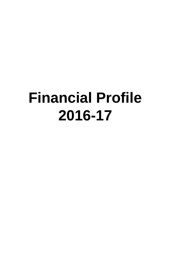# **Financial Profile 2016-17**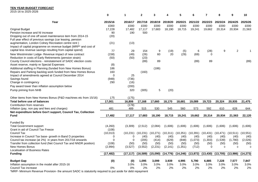## **TEN YEAR BUDGET FORECAST**

2015-16 to 2025-2026

|                                                                                                                           | $\mathbf 0$      | $\mathbf 1$ | $\mathbf{2}$ | 3         |           | 5         | 6         | $\overline{7}$ | 8           | 9           | 10        |
|---------------------------------------------------------------------------------------------------------------------------|------------------|-------------|--------------|-----------|-----------|-----------|-----------|----------------|-------------|-------------|-----------|
| Year                                                                                                                      | 2015/16          | 2016/17     | 2017/18      | 2018/19   | 2019/20   | 2020/21   | 2021/22   | 2022/23        | 2023/24     | 2024/25     | 2025/26   |
|                                                                                                                           | £000             | £000        | £000         | £000      | £000      | £000      | £000      | £000           | £000        | £000        | £000      |
| <b>Original Budget</b>                                                                                                    | 17,228           | 17,482      | 17,117       | 17,683    | 18,190    | 18,715    | 19,241    | 19,662         | 20,314      | 20,934      | 21,563    |
| Pension increase and NI increase                                                                                          | 90               | 190         | 500          |           |           |           |           |                |             |             |           |
| Dropping out of one off asset maintenance item from 2014-15<br>Full year effect of previous savings (car leasing, pension | (20)             |             |              |           |           |           |           |                |             |             |           |
| augmentation, London Colney Recreation centre rent)<br>Impact of capital programme on revenue budget (MRP* and cost of    | (21)             | (13)        |              |           |           |           |           |                |             |             |           |
| capital less revenue savings resulting from capital spend)                                                                | 77               | 29          | 154          | 9         | (19)      | (5)       | 6         | (28)           | 9           | 2           |           |
| New Westminster Lodge- Revenue impact of new contract                                                                     | (158)            | (49)        | (26)         | 60        | 20        | (29)      | (69)      | 0              |             |             |           |
| Reduction in costs of Early Retirements (pension strain)                                                                  | (50)             | (50)        | (23)         |           |           |           |           |                |             |             |           |
| County Council elections - reinstatement of SADC election costs                                                           |                  |             | (89)         | 89        |           |           | (89)      | 89             |             |             | (89)      |
| Asset reserve, mainly re Special Expenses                                                                                 | (8)              |             |              |           |           |           |           |                |             |             |           |
| Additional staffing in Planning (funded from New Homes Bonus)                                                             | 186              |             |              | (186)     |           |           |           |                |             |             |           |
| Repairs and Parking backlog work funded from New Homes Bonus                                                              | 160              |             | (160)        |           |           |           |           |                |             |             |           |
| Impact of amendments agreed at Council December 2014                                                                      | $\Omega$         | 25          |              |           |           |           |           |                |             |             |           |
| Savings found                                                                                                             | (948)            | (736)       |              |           |           |           |           |                |             |             |           |
| Change in contingency                                                                                                     | 290              | (16)        |              |           |           |           |           |                |             |             |           |
| Pay award lower than inflation assumption below                                                                           |                  | (200)       |              |           |           |           |           |                |             |             |           |
| Pump priming from NHB                                                                                                     |                  | 320         | (305)        | 5         | (20)      |           |           |                |             |             |           |
| Other items from New Homes Bonus (P&D machines etc from 15/16)                                                            | 175              | (175)       |              |           |           |           |           |                |             |             |           |
| <b>Total before use of balances</b>                                                                                       | 17,001           | 16,806      | 17,168       | 17,660    | 18,170    | 18,681    | 19,089    | 19,723         | 20,324      | 20,935      | 21,475    |
| Contribution from reserves                                                                                                |                  | (178)       |              |           |           |           |           |                |             |             |           |
| Inflation (pay, non pay and fees and charges)                                                                             | 481              | 489         | 515          | 530       | 545       | 560       | 573       | 592            | 610         | 628         | 644       |
| Net expenditure before Gov't support, Council Tax, Collection                                                             |                  |             |              |           |           |           |           |                |             |             |           |
| <b>Fund</b>                                                                                                               | 17,482           | 17,117      | 17,683       | 18,190    | 18,715    | 19,241    | 19,662    | 20,314         | 20,934      | 21,563      | 22,120    |
| Funded By                                                                                                                 |                  |             |              |           |           |           |           |                |             |             |           |
| <b>Total Government support</b><br>Grant in aid of Council Tax Freeze                                                     | (4,260)<br>(108) | (3,309)     | (2,512)      | (2,084)   | (1,606)   | (1,606)   | (1,606)   | (1,606)        | (1,606)     | (1,606)     | (1,606)   |
| Council Tax                                                                                                               | (10, 013)        | (10, 231)   | (10, 231)    | (10, 271) | (10, 311) | (10, 351) | (10, 391) | (10, 431)      | (10, 471)   | (10, 511)   | (10, 551) |
| Increase in Council Tax base- growth in Band D properties                                                                 | 0                | $\Omega$    | (40)         | (40)      | (40)      | (40)      | (40)      | (40)           | (40)        | (40)        | (40)      |
| Council tax increase (at 2%) in years from 2017/18 onwards                                                                | $\Omega$         | $\Omega$    | (205)        | (414)     | (629)     | (848)     | (1,073)   | (1, 303)       | (1,539)     | (1,780)     | (2,026)   |
| Transfer from collection fund (Net Council Tax and NNDR position)                                                         | (108)            | (50)        | (50)         | (50)      | (50)      | (50)      | (50)      | (50)           | (50)        | (50)        | (50)      |
| New Homes Bonus<br><b>Localisation of Business Rates</b>                                                                  | (2,994)          | (3,527)     | (3, 552)     | (2, 231)  | (2, 141)  | (1, 351)  | (712)     | 0              | $\mathbf 0$ | $\mathbf 0$ | $\Omega$  |
| <b>Funding</b>                                                                                                            | (17, 482)        | (17, 117)   | (16, 589)    | (15,090)  | (14, 776) | (14, 246) | (13, 872) | (13, 430)      | (13,705)    | (13,986)    | (14, 273) |
| <b>Budget Gap</b>                                                                                                         | (0)              | (0)         | 1,095        | 3,099     | 3,939     | 4,995     | 5,790     | 6,885          | 7,228       | 7,577       | 7,847     |
| Inflation assumption in the model after 2015-16                                                                           |                  | 3.0%        | 3.0%         | 3.0%      | 3.0%      | 3.0%      | 3.0%      | 3.0%           | 3.0%        | 3.0%        | 3.0%      |
| Council Tax increase                                                                                                      | $0\%$            | 0%          | 2%           | 2%        | 2%        | 2%        | 2%        | 2%             | 2%          | 2%          | 2%        |

\*MRP- Minimum Revenue Provision- the amount SADC is statutorily required to put aside for debt repayment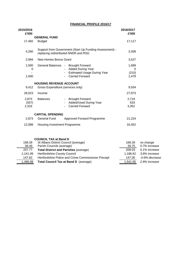## **FINANCIAL PROFILE 2016/17**

| 2015/2016<br>£'000      |                                                                                                         |                                                                                                                                                  | 2016/2017<br>£'000           |                            |
|-------------------------|---------------------------------------------------------------------------------------------------------|--------------------------------------------------------------------------------------------------------------------------------------------------|------------------------------|----------------------------|
| 17,482                  | <b>GENERAL FUND</b><br><b>Budget</b>                                                                    |                                                                                                                                                  | 17,117                       |                            |
| 4,260                   |                                                                                                         | Support from Government (Start Up Funding Assessment) -<br>replacing redistributed NNDR and RSG                                                  | 3,309                        |                            |
| 2,994                   | New Homes Bonus Grant                                                                                   |                                                                                                                                                  | 3,527                        |                            |
| 1,500<br>0<br>1,500     |                                                                                                         | General Balances - Brought Forward<br><b>Added During Year</b><br><b>Estimated Usage During Year</b><br><b>Carried Forward</b><br>$\blacksquare$ | 1,689<br>0<br>(210)<br>1,479 |                            |
|                         | <b>HOUSING REVENUE ACCOUNT</b>                                                                          |                                                                                                                                                  |                              |                            |
| 9.412                   | Gross Expenditure (services only)                                                                       |                                                                                                                                                  | 9,554                        |                            |
| 28,023                  | Income                                                                                                  |                                                                                                                                                  | 27,973                       |                            |
| 2,873<br>(557)<br>2,316 | <b>Balances</b>                                                                                         | <b>Brought Forward</b><br>$\sim 100$<br>Added/Used During Year<br><b>Carried Forward</b>                                                         | 2,719<br>633<br>3,352        |                            |
|                         | <b>CAPITAL SPENDING</b>                                                                                 |                                                                                                                                                  |                              |                            |
| 2,873                   | <b>General Fund</b>                                                                                     | Approved Forward Programme                                                                                                                       | 21,224                       |                            |
| 12,088                  | Housing Investment Programme                                                                            |                                                                                                                                                  | 16,452                       |                            |
| 168.28                  | <b>COUNCIL TAX at Band D</b><br>St Albans District Council (average)<br>20.40 Borich Councile (overgas) |                                                                                                                                                  | 168.28<br>ኃስ 7ድ              | no change<br>$0.70/$ inore |

| 39.49    | Parish Councils (average)                           | 39.75    | 0.7% increase  |
|----------|-----------------------------------------------------|----------|----------------|
| 207.77   | <b>Total District and Parishes (average)</b>        | 208.03   | 0.1% increase  |
| 1.141.09 | <b>Hertfordshire County Council</b>                 | 1.186.62 | 3.8% increase  |
| 147.82   | Hertfordshire Police and Crime Commissioner Precept | 147.00   | -0.6% decrease |
| 1,496.68 | Total Council Tax at Band D (average)               | 1.541.65 | 2.9% increase  |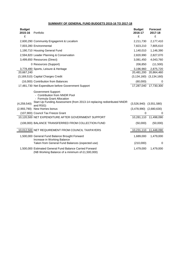## **SUMMARY OF GENERAL FUND BUDGETS 2015-16 TO 2017-18**

| <b>Budget</b><br>2015-16<br>£ | Portfolio                                                                                                                                                           | <b>Budget</b><br>2016-17<br>£ | <b>Forecast</b><br>2017-18<br>£ |
|-------------------------------|---------------------------------------------------------------------------------------------------------------------------------------------------------------------|-------------------------------|---------------------------------|
|                               | 2,600,290 Community Engagemnt & Localism                                                                                                                            | 2,211,730                     | 2,177,410                       |
|                               | 7,003,280 Environmental                                                                                                                                             | 7,823,210                     | 7,805,610                       |
|                               | 1,190,710 Housing General Fund                                                                                                                                      | 1,140,010                     | 1,146,390                       |
|                               | 2,594,820 Leader Planning & Conservation                                                                                                                            | 2,820,990                     | 2,827,070                       |
|                               | 3,499,650 Resources (Direct)                                                                                                                                        | 3,081,450                     | 4,043,760                       |
|                               | 0 Resources (Support)                                                                                                                                               | 206,850                       | (11,500)                        |
|                               | 3,778,490 Sports, Leisure & Heritage                                                                                                                                | 3,196,960                     | 2,875,720                       |
| 20,667,240                    |                                                                                                                                                                     | 20,481,200                    | 20,864,460                      |
|                               | (3,169,510) Capital Charges Credit                                                                                                                                  |                               | $(3, 134, 160)$ $(3, 134, 160)$ |
|                               | (16,000) Contribution from Balances                                                                                                                                 | (60,000)                      | 0                               |
|                               | 17,481,730 Net Expenditure before Government Support                                                                                                                |                               | 17,287,040 17,730,300           |
|                               | <b>Government Support:</b><br>- Contribution from NNDR Pool<br>- Formula Grant Allocation<br>Start Up Funding Assessment (from 2013-14 replacing redistributed NNDR |                               |                                 |
| (4,259,540)                   | and RSG)                                                                                                                                                            | $(3,526,940)$ $(3,551,580)$   |                                 |
|                               | (2,993,790) New Homes bonus                                                                                                                                         | $(3,478,990)$ $(2,680,630)$   |                                 |
|                               | (107,900) Council Tax Freeze Grant                                                                                                                                  | $\Omega$                      | 0                               |
|                               | 10,120,500 NET EXPENDITURE AFTER GOVERNMENT SUPPORT                                                                                                                 |                               | 10,281,110 11,498,090           |
|                               | (108,000) BALANCE TRANSFERRED FROM COLLECTION FUND                                                                                                                  | (50,000)                      | (50,000)                        |
|                               | 10,012,500 NET REQUIREMENT FROM COUNCIL TAXPAYERS                                                                                                                   | 10,231,110                    | 11,448,090                      |
|                               | 1,500,000 General Fund Balance Brought Forward<br>Increase in Working Balance                                                                                       | 1,689,000                     | 1,479,000                       |
|                               | Taken from General Fund Balances (expected use)                                                                                                                     | (210,000)                     | 0                               |
|                               | 1,500,000 Estimated General Fund Balance Carried Forward<br>(NB Working Balance of a minimum of £1,500,000)                                                         | 1,479,000                     | 1,479,000                       |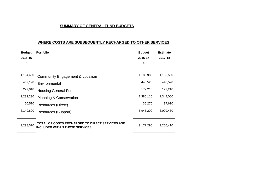# **SUMMARY OF GENERAL FUND BUDGETS**

## **WHERE COSTS ARE SUBSEQUENTLY RECHARGED TO OTHER SERVICES**

| <b>Budget</b> | <b>Portfolio</b>                                                                         | <b>Budget</b> | <b>Estimate</b> |
|---------------|------------------------------------------------------------------------------------------|---------------|-----------------|
| 2015-16       |                                                                                          | 2016-17       | 2017-18         |
| £             |                                                                                          | £             | £               |
|               |                                                                                          |               |                 |
| 1,164,690     | Community Engagement & Localism                                                          | 1,189,980     | 1,193,550       |
| 462,190       | Environmental                                                                            | 448,520       | 448,520         |
| 229,010       | <b>Housing General Fund</b>                                                              | 172,210       | 172,210         |
| 1,232,290     | <b>Planning &amp; Conservation</b>                                                       | 1,380,110     | 1,344,060       |
| 60,570        | Resources (Direct)                                                                       | 36,270        | 37,610          |
| 6,149,820     | <b>Resources (Support)</b>                                                               | 5,945,200     | 6,009,460       |
|               |                                                                                          |               |                 |
| 9,298,570     | TOTAL OF COSTS RECHARGED TO DIRECT SERVICES AND<br><b>INCLUDED WITHIN THOSE SERVICES</b> | 9,172,290     | 9,205,410       |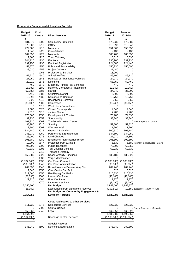## **Community Engagement & Localism Portfolio**

| <b>Budget</b> | Cost          |                                            | <b>Budget</b> | <b>Forecast</b> |                                      |
|---------------|---------------|--------------------------------------------|---------------|-----------------|--------------------------------------|
| 2015-16       | <b>Centre</b> | <b>Direct Services</b>                     | 2016-17       | 2017-18         |                                      |
| £             |               |                                            | £             | £               |                                      |
| 181,570       | 1205          | <b>Community Protection</b>                | 175,230       | 175,880         |                                      |
| 376,300       | 1210          | CCTV                                       | 315,390       | 315,840         |                                      |
| 772,600       | 1215          | Members                                    | 651,360       | 650,650         |                                      |
| 1,640         | 1220          | <b>Civic Activities</b>                    | 2,130         | 2,130           |                                      |
| 187,050       | 1222          | Mayoralty                                  | 185,760       | 186,350         |                                      |
| 17,860        | 1225          | <b>Town Twinning</b>                       | 10,610        | 10,630          |                                      |
| 244,120       | 1230          | Elections                                  | 236,700       | 237,230         |                                      |
| 197,250       | 1235          | <b>Electoral Registration</b>              | 224,080       | 224,440         |                                      |
| 53,870        | 1256          | Policy and Sustainability                  | 155,230       | 155,090         |                                      |
| 28,030        | 1259          | <b>Project Delivery</b>                    | 27,440        | 0               |                                      |
| 0             | 1261          | <b>Professional Services</b>               | 13,000        | 0               |                                      |
| 52,220        | 1540          | Animal Welfare                             | 49,100        | 49,110          |                                      |
| 27,050        | 1545          | Removal of Abandoned Vehicles              | 24,270        | 24,270          |                                      |
| 29,010        | 1575          | Licensing                                  | 58,750        | 59,460          |                                      |
| 460           | 1578          |                                            | 470           | 470             |                                      |
|               | 1580          | <b>Externally FundedTaxi Schemes</b>       |               |                 |                                      |
| (18, 380)     |               | Hackney Carriages & Private Hire<br>Market | (19, 150)     | (19, 150)       |                                      |
| (67,080)      | 1585          | <b>Christmas Market</b>                    | 34,340        | 35,300          |                                      |
| 6,410         | 1586          |                                            | 6,900         | 6,900           |                                      |
| 10,590        | 2635          | Nomansland Common                          | 10,750        | 10,750          |                                      |
| 8,820         | 2640          | <b>Bricketwood Common</b>                  | 8,950         | 8,950           |                                      |
| (88,000)      | 2800          | Cemeteries                                 | (85, 740)     | (86,050)        |                                      |
| 0             | 2810          | West Herts Crematorium                     | 0             | 0               |                                      |
| 4,080         | 2820          | <b>Closed Churchyards</b>                  | 4,540         | 4,540           |                                      |
| 7,010         | 2910          | Jubilee Centre                             | 7,200         | 7,200           |                                      |
| 176,060       | 3056          | Development & Tourism                      | 73,900        | 74,330          |                                      |
| 32,930        | 3057          | Shopmobility                               | 33,340        | 33,340          |                                      |
| 161,320       | 3062          | <b>Tourist Information Centre</b>          | 0             |                 | 0 Now in Sports & Leisure            |
| 38,980        | 3510          | Scrutiny                                   | 52,800        | 52,820          |                                      |
| 2,790         | 5002          | War memorial                               | 1,200         | 1,200           |                                      |
| 524,180       | 5015          | Grants & Subsidies                         | 500,610       | 505,180         |                                      |
| 286,030       | 5060          | Partnership & Engagement                   | 334,190       | 334,950         |                                      |
| 26,000        | 5075          | <b>Land Charges</b>                        | 27,070        | 27,800          |                                      |
| 101,780       | 5080          | <b>Emergency Planning/Resilience</b>       | 101,300       | 102,890         |                                      |
| 12,800        | 5547          | Protection from Eviction                   | 5,630         |                 | 5,680 Formerly in Resources (Direct) |
| 97,200        | 6000          | <b>Public Transport</b>                    | 70,200        | 69,850          |                                      |
| 62,730        | 6005          | Taxi Voucher Scheme                        | 62,730        | 62,730          |                                      |
| 0             | 6010          | <b>Transport Strategy</b>                  | 0             | 0               |                                      |
| 150,980       | 6020          | <b>Roads Amenity Functions</b>             | 138,180       | 138,320         |                                      |
| 0             | 6030          | Verge Maintenance                          | 0             | 0               |                                      |
| (1,767,040)   | 6035          | Car Parks Contract                         | (1,908,930)   | (1,908,930)     |                                      |
| (105, 380)    | 6040          | Car Parks Administration                   | (33,800)      | (93, 550)       |                                      |
| 209,330       | 6045          | Russell Avenue/Drovers Way Car             | 209,240       | 209,240         |                                      |
| 7,040         | 6050          | Civic Centre Car Park                      | 520           | 15,520          |                                      |
| 212,060       | 6055          | Fee Paying Car Parks                       | 215,830       | 215,830         |                                      |
| (28, 390)     | 6060          | <b>Leased Car Parks</b>                    | (43, 100)     | (43, 100)       |                                      |
| 22,320        | 6065          | <b>Free Car Parks</b>                      | 12,370        | 12,370          |                                      |
| 0             | 6070          | Lydekker Car Park                          | (8,090)       | (8,090)         |                                      |
| 2,256,200     |               | <b>Net Budget</b>                          | 1,942,500     | 1,868,370       |                                      |
| (1,950)       |               | Less funding from earmarked reserves       | (109, 510)    |                 | 19,150 1261; 1580; 5545;6040; 6100   |
|               |               | Net Budget for Community Engagement &      |               |                 |                                      |
| 2,254,250     |               | <b>Localism Portfolio</b>                  | 1,832,990     | 1,887,520       |                                      |
|               |               |                                            |               |                 |                                      |
|               |               |                                            |               |                 |                                      |
|               |               | Costs reallocated to other services        |               |                 |                                      |
| 511,730       | 1245          | <b>Democratic Services</b>                 | 527,330       | 527,030         |                                      |
| 0             | 5500          | <b>Central Offices</b>                     | 0             |                 | 0 Now in Resources (Support)         |
| 652,960       | 5545          | Legal                                      | 662,650       | 666,520         |                                      |
| 1,164,690     |               |                                            | 1,189,980     | 1,193,550       |                                      |
| (1, 164, 690) |               | Recharge to other services                 | (1, 189, 980) | (1, 193, 550)   |                                      |
| 0             |               |                                            | 0             | 0               |                                      |
|               |               | <b>Special Reserve</b>                     |               |                 |                                      |
| 346,040       | 6100          | <b>Decriminalised Parking</b>              | 378,740       | 289,890         |                                      |
|               |               |                                            |               |                 |                                      |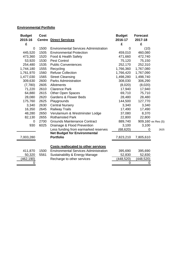## **Environmental Portfolio**

| <b>Budget</b><br>2015-16 | <b>Cost</b> |                                              | <b>Budget</b><br>2016-17 | <b>Forecast</b> |                    |
|--------------------------|-------------|----------------------------------------------|--------------------------|-----------------|--------------------|
|                          |             | <b>Centre Direct Services</b>                |                          | 2017-18         |                    |
| £                        |             |                                              | £                        | £               |                    |
| 0                        | 1500        | <b>Environmental Services Administration</b> | 0                        | (10)            |                    |
| 445,520                  | 1505        | <b>Environmental Protection</b>              | 459,010                  | 460,080         |                    |
| 473,360                  | 1520        | Food & Health Safety                         | 471,660                  | 472,740         |                    |
| 53,920                   | 1530        | <b>Pest Control</b>                          | 75,120                   | 75,150          |                    |
| 254,480                  | 1535        | <b>Public Conveniences</b>                   | 252,170                  | 252,310         |                    |
| 1,744,180                | 1555        | Recycling                                    | 1,766,360                | 1,767,080       |                    |
| 1,761,970                | 1560        | <b>Refuse Collection</b>                     | 1,766,420                | 1,767,090       |                    |
| 1,477,030                | 1565        | <b>Street Cleansing</b>                      | 1,498,280                | 1,498,740       |                    |
| 309,630                  | 2600        | <b>Parks Administration</b>                  | 308,030                  | 306,290         |                    |
| (7,780)                  | 2605        | Allotments                                   | (8,020)                  | (8,020)         |                    |
| 71,220                   | 2610        | <b>Clarence Park</b>                         | 17,940                   | 17,940          |                    |
| 64,880                   | 2615        | <b>Other Open Spaces</b>                     | 69,710                   | 75,710          |                    |
| 28,080                   | 2620        | <b>Gardens &amp; Flower Beds</b>             | 28,480                   | 28,480          |                    |
| 175,760                  | 2625        | Playgrounds                                  | 144,500                  | 127,770         |                    |
| 3,340                    | 2630        | <b>Central Nursery</b>                       | 3,340                    | 3,340           |                    |
| 16,350                   | 2645        | <b>Railway Trails</b>                        | 17,490                   | 17,490          |                    |
| 48,280                   | 2650        | Verulamium & Westminster Lodge               | 37,080                   | 8,370           |                    |
| 82,130                   | 2655        | <b>Rothamsted Park</b>                       | 22,800                   | 22,800          |                    |
| 0                        | 2700        | <b>Grounds Maintenance Contract</b>          | 889,740                  |                 | 909,160 ex Res (S) |
| 930                      | 6025        | Drainage & Flood Prevention                  | 3,100                    | 3,100           |                    |
|                          |             | Less funding from earmarked reserves         | (68, 620)                | 0               | 2625               |
|                          |             | <b>Net Budget for Environmental</b>          |                          |                 |                    |
| 7,003,280                |             | <b>Portfolio</b>                             | 7,823,210                | 7,805,610       |                    |
|                          |             |                                              |                          |                 |                    |
|                          |             | <b>Costs reallocated to other services</b>   |                          |                 |                    |
| 411,870                  | 1500        | <b>Environmental Services Administration</b> | 395,690                  | 395,690         |                    |
| 50,320                   | 5561        | Sustainability & Energy Manage               | 52,830                   | 52,830          |                    |
| (462,190)                |             | Recharge to other services                   | (448, 520)               | (448,520)       |                    |
| 0                        |             |                                              | 0                        | 0               |                    |
|                          |             |                                              |                          |                 |                    |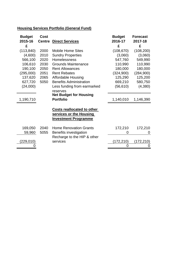# **Housing Services Portfolio (General Fund)**

| <b>Budget</b><br>2015-16 | <b>Cost</b><br><b>Centre</b> | <b>Direct Services</b>                                                                      | <b>Budget</b><br>2016-17 | <b>Forecast</b><br>2017-18 |
|--------------------------|------------------------------|---------------------------------------------------------------------------------------------|--------------------------|----------------------------|
| £                        |                              |                                                                                             | £                        | £                          |
| (113, 840)               | 2000                         | <b>Mobile Home Sites</b>                                                                    | (108, 670)               | (108, 200)                 |
| (4,600)                  | 2010                         | <b>Sundry Properties</b>                                                                    | (3,060)                  | (3,060)                    |
| 566,100                  | 2020                         | Homelessness                                                                                | 547,760                  | 549,990                    |
| 106,610                  | 2030                         | <b>Grounds Maintenance</b>                                                                  | 110,990                  | 110,990                    |
| 190,100                  | 2050                         | <b>Rent Allowances</b>                                                                      | 180,000                  | 180,000                    |
| (295,000)                | 2051                         | <b>Rent Rebates</b>                                                                         | (324,900)                | (284, 900)                 |
| 137,620                  | 2065                         | <b>Affordable Housing</b>                                                                   | 125,290                  | 125,200                    |
| 627,720                  | 5050                         | <b>Benefits Administration</b>                                                              | 669,210                  | 580,750                    |
| (24,000)                 |                              | Less funding from earmarked                                                                 | (56, 610)                | (4,380)                    |
|                          |                              | reserves                                                                                    |                          |                            |
|                          |                              | <b>Net Budget for Housing</b>                                                               |                          |                            |
| 1,190,710                |                              | <b>Portfolio</b>                                                                            | 1,140,010                | 1,146,390                  |
|                          |                              |                                                                                             |                          |                            |
|                          |                              | <b>Costs reallocated to other</b><br>services or the Housing<br><b>Investment Programme</b> |                          |                            |
| 169,050                  | 2040                         | <b>Home Renovation Grants</b>                                                               | 172,210                  | 172,210                    |
| 59,960                   | 5055                         | Benefits investigation                                                                      | 0                        | 0                          |
|                          |                              | Recharge to the HIP & other                                                                 |                          |                            |
| (229, 010)               |                              | services                                                                                    | (172,210)                | (172,210)                  |
|                          |                              |                                                                                             | 0                        | 0                          |
|                          |                              |                                                                                             |                          |                            |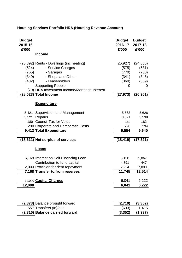# **Housing Services Portfolio HRA (Housing Revenue Account)**

| <b>Budget</b>                                                                                                                                                                                                                                              | <b>Budget</b>                                                   | <b>Budget</b>                                                   |
|------------------------------------------------------------------------------------------------------------------------------------------------------------------------------------------------------------------------------------------------------------|-----------------------------------------------------------------|-----------------------------------------------------------------|
| 2015-16                                                                                                                                                                                                                                                    | 2016-17                                                         | 2017-18                                                         |
| £'000                                                                                                                                                                                                                                                      | £'000                                                           | £'000                                                           |
| <b>Income</b>                                                                                                                                                                                                                                              |                                                                 |                                                                 |
| (25,892) Rents - Dwellings (inc heating)<br>(524)<br>- Service Charges<br>(765)<br>- Garages<br>- Shops and Other<br>(340)<br>- Leaseholders<br>(432)<br><b>Supporting People</b><br>(70) HRA Investment Income/Mortgage Interest<br>(28,023) Total Income | (25, 927)<br>(575)<br>(770)<br>(341)<br>(360)<br>0<br>(27, 973) | (24, 886)<br>(581)<br>(780)<br>(346)<br>(369)<br>0<br>(26, 961) |
| <b>Expenditure</b>                                                                                                                                                                                                                                         |                                                                 |                                                                 |
| 5,421 Supervision and Management                                                                                                                                                                                                                           | 5,563                                                           | 5,626                                                           |
| 3,521 Repairs                                                                                                                                                                                                                                              | 3,521                                                           | 3,538                                                           |
| 180 Council Tax for Voids                                                                                                                                                                                                                                  | 180                                                             | 182                                                             |
| 290 Corporate and Democratic Costs                                                                                                                                                                                                                         | 290                                                             | 294                                                             |
| 9,412 Total Expenditure                                                                                                                                                                                                                                    | 9,554                                                           | 9,640                                                           |
| (18,611) Net surplus of services                                                                                                                                                                                                                           | (18, 419)                                                       | (17, 321)                                                       |
| <b>Loans</b>                                                                                                                                                                                                                                               |                                                                 |                                                                 |
| 5,168 Interest on Self Financing Loan                                                                                                                                                                                                                      | 5,130                                                           | 5,067                                                           |
| Contribution to fund capital                                                                                                                                                                                                                               | 4,391                                                           | 447                                                             |
| 2,000 Provision for debt repayment                                                                                                                                                                                                                         | 2,224                                                           | 7,000                                                           |
| 7,168 Transfer to/from reserves                                                                                                                                                                                                                            | 11,745                                                          | 12,514                                                          |
| 12,000 Capital Charges                                                                                                                                                                                                                                     | 6,041                                                           | 6,222                                                           |
| 12,000                                                                                                                                                                                                                                                     | 6,041                                                           | 6,222                                                           |
| (2,873) Balance brought forward                                                                                                                                                                                                                            | (2,719)                                                         | (3, 352)                                                        |
| 557 Transfers (In)/out                                                                                                                                                                                                                                     | (633)                                                           | 1,415                                                           |
| (2,316) Balance carried forward                                                                                                                                                                                                                            | (3, 352)                                                        | (1, 937)                                                        |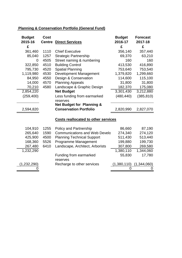| <b>Planning &amp; Conservation Portfolio (General Fund)</b> |  |  |
|-------------------------------------------------------------|--|--|
|                                                             |  |  |

| <b>Budget</b><br>2015-16 | <b>Cost</b><br><b>Centre</b> | <b>Direct Services</b>                     | <b>Budget</b><br>2016-17 | <b>Forecast</b><br>2017-18 |
|--------------------------|------------------------------|--------------------------------------------|--------------------------|----------------------------|
| £                        |                              |                                            | £                        | £                          |
| 361,460                  | 1110                         | <b>Chief Executive</b>                     | 356,140                  | 357,440                    |
| 85,040                   | 1257                         | <b>Strategic Partnership</b>               | 69,370                   | 63,210                     |
| 0                        | 4505                         | Street naming & numbering                  | 160                      | 160                        |
| 322,850                  | 4510                         | <b>Building Control</b>                    | 413,530                  | 416,890                    |
| 795,730                  | 4520                         | <b>Spatial Planning</b>                    | 753,640                  | 753,540                    |
| 1,119,980                | 4530                         | <b>Development Management</b>              | 1,379,820                | 1,299,660                  |
| 84,950                   | 4550                         | Design & Conservation                      | 114,600                  | 115,100                    |
| 14,000                   | 4570                         | <b>Planning Appeals</b>                    | 31,800                   | 31,800                     |
| 70,210                   | 4580                         | Landscape & Graphic Design                 | 182,370                  | 175,080                    |
| 2,854,220                |                              | <b>Net Budget</b>                          | 3,301,430                | 3,212,880                  |
| (259, 400)               |                              | Less funding from earmarked                | (480, 440)               | (385, 810)                 |
|                          |                              | reserves                                   |                          |                            |
|                          |                              | <b>Net Budget for Planning &amp;</b>       |                          |                            |
| 2,594,820                |                              | <b>Conservation Portfolio</b>              | 2,820,990                | 2,827,070                  |
|                          |                              | <b>Costs reallocated to other services</b> |                          |                            |
| 104,910                  | 1255                         | <b>Policy and Partnership</b>              | 86,660                   | 87,190                     |
| 265,640                  | 1590                         | <b>Communications and Web Develo</b>       | 274,340                  | 274,120                    |
| 425,900                  | 4500                         | <b>Planning Technical Support</b>          | 511,430                  | 513,440                    |
| 168,360                  | 5526                         | Programme Management                       | 199,880                  | 199,730                    |
| 267,480                  | 6410                         | Landscape, Architect, Arborists            | 307,800                  | 269,580                    |
| 1,232,290                |                              |                                            | 1,380,110                | 1,344,060                  |
|                          |                              | Funding from earmarked                     | 55,830                   | 17,780                     |
|                          |                              | reserves                                   |                          |                            |
| (1,232,290)              |                              | Recharge to other services                 | (1,380,110)              | (1,344,060)                |
|                          |                              |                                            | 0                        | 0                          |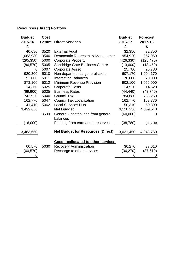## **Resources (Direct) Portfolio**

| <b>Budget</b> | <b>Cost</b>   |                                            | <b>Budget</b>          | <b>Forecast</b> |
|---------------|---------------|--------------------------------------------|------------------------|-----------------|
| 2015-16       | <b>Centre</b> | <b>Direct Services</b>                     | 2016-17                | 2017-18         |
| £             |               |                                            | £                      | £               |
| 40,680        | 3520          | <b>External Audit</b>                      | 32,350                 | 32,350          |
| 1,063,930     | 3540          | Democratic Represent & Managemer           | 954,920                | 957,960         |
| (295, 350)    | 5000          | <b>Corporate Property</b>                  | (426, 330)             | (125, 470)      |
| (86, 570)     | 5005          | Sandridge Gate Business Centre             | (13,600)               | (13, 450)       |
| 0             | 5007          | <b>Corporate Asset</b>                     | 25,780                 | 25,780          |
| 920,300       | 5010          | Non departmental general costs             | 607,170                | 1,094,170       |
| 92,000        | 5011          | <b>Interest on Balances</b>                | 70,000                 | 70,000          |
| 873,100       | 5012          | <b>Minimum Revenue Provision</b>           | 902,100                | 1,056,000       |
| 14,360        | 5025          | <b>Corporate Costs</b>                     | 14,520                 | 14,520          |
| (69,900)      | 5035          | <b>Business Rates</b>                      | (44, 440)              | (43, 740)       |
| 742,920       | 5040          | <b>Council Tax</b>                         | 784,680                | 788,260         |
| 162,770       | 5047          | <b>Council Tax Localisation</b>            | 162,770                | 162,770         |
| 41,410        | 5062          | <b>Local Services Hub</b>                  | 50,310                 | 50,390          |
| 3,499,650     |               | <b>Net Budget</b>                          | $\overline{3,120,230}$ | 4,069,540       |
|               | 3530          | General - contribution from general        | (60,000)               | 0               |
|               |               | balances                                   |                        |                 |
| (16,000)      |               | Funding from earmarked reserves            | (38,780)               | (25, 780)       |
|               |               |                                            |                        |                 |
| 3,483,650     |               | <b>Net Budget for Resources (Direct)</b>   | 3,021,450              | 4,043,760       |
|               |               |                                            |                        |                 |
|               |               | <b>Costs reallocated to other services</b> |                        |                 |
| 60,570        | 5030          | <b>Recovery Administration</b>             | 36,270                 | 37,610          |
| (60, 570)     |               | Recharge to other services                 | (36,270)               | (37, 610)       |
|               |               |                                            | 0                      | 0               |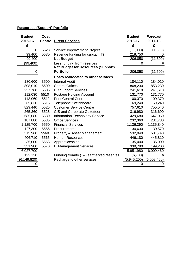# **Resources (Support) Portfolio**

| <b>Budget</b><br>2015-16 | <b>Cost</b><br><b>Centre</b> | <b>Direct Services</b>                     | <b>Budget</b><br>2016-17 | <b>Forecast</b><br>2017-18 |
|--------------------------|------------------------------|--------------------------------------------|--------------------------|----------------------------|
| £                        |                              |                                            | £                        | £                          |
| 0                        | 5523                         | Service Improvement Project                | (11,900)                 | (11,500)                   |
| 99,400                   | 5530                         | Revenue funding for capital (IT)           | 218,750                  |                            |
| 99,400                   |                              | <b>Net Budget</b>                          | 206,850                  | (11,500)                   |
| (99,400)                 |                              | Less funding from reserves                 | 0                        | $\Omega$                   |
|                          |                              | <b>Net Budget for Resources (Support)</b>  |                          |                            |
| 0                        |                              | <b>Portfolio</b>                           | 206,850                  | (11,500)                   |
|                          |                              | <b>Costs reallocated to other services</b> |                          |                            |
| 180,600                  | 3500                         | <b>Internal Audit</b>                      | 184,110                  | 184,010                    |
| 808,010                  | 5500                         | <b>Central Offices</b>                     | 868,230                  | 853,230                    |
| 237,760                  | 5505                         | <b>HR Support Services</b>                 | 241,610                  | 241,610                    |
| 112,030                  | 5510                         | Postage Holding Account                    | 131,770                  | 131,770                    |
| 113,060                  | 5512                         | <b>Print Central Code</b>                  | 100,370                  | 100,370                    |
| 65,830                   | 5515                         | <b>Telephone Switchboard</b>               | 69,240                   | 69,240                     |
| 829,440                  | 5525                         | <b>Customer Service Centre</b>             | 757,610                  | 755,540                    |
| 265,360                  | 5528                         | <b>GIS and Corporate Gazetteer</b>         | 316,980                  | 316,690                    |
| 685,080                  | 5530                         | <b>Information Technology Service</b>      | 429,680                  | 647,060                    |
| 187,880                  | 5535                         | <b>Office Services</b>                     | 232,360                  | 231,780                    |
| 1,125,700                | 5550                         | <b>Financial Services</b>                  | 1,136,390                | 1,135,840                  |
| 127,300                  | 5555                         | Procurement                                | 130,630                  | 130,570                    |
| 515,960                  | 5560                         | Property & Asset Management                | 532,040                  | 531,740                    |
| 406,710                  | 5565                         | <b>Human Resources</b>                     | 446,180                  | 445,810                    |
| 35,000                   | 5568                         | Apprenticeships                            | 35,000                   | 35,000                     |
| 331,980                  | 5570                         | <b>IT Management Services</b>              | 339,780                  | 199,200                    |
| 6,027,700                |                              |                                            | 5,951,980                | 6,009,460                  |
| 122,120                  |                              | Funding from/to (+/-) earmarked reserves   | (6,780)                  | 0                          |
| (6, 149, 820)            |                              | Recharge to other services                 | (5,945,200)              | (6,009,460)                |
|                          |                              |                                            | 0                        | 0                          |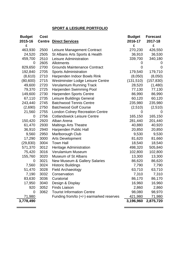## **SPORT & LEISURE PORTFOLIO**

| 2015-16<br><b>Centre</b><br>2016-17<br>2017-18<br><b>Direct Services</b><br>£<br>£<br>£<br>463,930<br>270,230<br>2500<br>Leisure Management Contract<br>2505<br>St Albans Arts Sports & Health<br>24,520<br>36,910<br>339,700<br>459,700<br>2510<br>Leisure Administration<br>2605<br>0<br>Allotments<br>2700<br>829,650<br><b>Grounds Maintenance Contract</b><br>0<br>0<br>179,540<br>179,710<br>192,840<br>2705<br><b>Sports Administration</b><br>2710<br>(8,610)<br>Harpenden Indoor Bowls Rink<br>(8,050)<br>(8,050)<br>(80, 600)<br>2715<br>(131, 510)<br>(157, 830)<br>Westminster Lodge Leisure Centre<br>49,600<br>2720<br><b>Verulamium Running Track</b><br>28,520<br>(1,480)<br>79,370<br>2725<br><b>Harpenden Swimming Pool</b><br>77,130<br>2730<br>149,600<br><b>Harpenden Sports Centre</b><br>86,990<br>2735<br>60,120<br>67,110<br>Leisure Buildings General<br>243,440<br>2745<br><b>Batchwood Tennis Centre</b><br>235,980<br>(2,690)<br>2750<br><b>Batchwood Golf Course</b><br>(2,510)<br>21,560<br>2755<br><b>London Colney Recreation Centre</b><br>0<br>0<br>2756<br>165,150<br><b>Cotlandswick Leisure Centre</b><br>0<br>150,420<br>2920<br>Alban Arena<br>281,440<br>61,470<br>2930<br><b>Maltings Arts Theatre</b><br>40,880<br>36,910<br>2940<br>20,850<br>Harpenden Public Hall<br>2950<br>9,560<br>Marlborough Club<br>9,530<br>17,290<br>3000<br><b>Arts Development</b><br>81,620<br>(29, 830)<br>3004<br><b>Town Hall</b><br>18,540<br>3012<br>571,370<br><b>Heritage Administration</b><br>498,320<br>75,420<br>3016<br>Verulamium Museum<br>102,800<br>Museum of St Albans<br>13,300<br>155,760<br>3020<br>3021<br>New Museum & Gallery Salaries<br>86,620<br>0<br>3024<br>7,790<br>7,560<br><b>Historic Buildings</b><br>3028<br>63,710<br>63,710<br>51,470<br><b>Field Archaeology</b><br>7,190<br>7,310<br>3032<br>Conservation<br>86,170<br>83,630<br>3036<br>Curatorial<br>Design & Display<br>17,950<br>3040<br>16,960<br>920<br>3052<br><b>Finds Liaison</b><br>2,860<br>3062<br><b>Tourist Information Centre</b><br>98,080<br>98,970<br>0<br>Funding from/to $(+/-)$ earmarked reserves<br>421,980<br>71,980<br>3,196,960<br>3,778,490 | <b>Budget</b> | Cost | <b>Budget</b> | <b>Forecast</b> |
|---------------------------------------------------------------------------------------------------------------------------------------------------------------------------------------------------------------------------------------------------------------------------------------------------------------------------------------------------------------------------------------------------------------------------------------------------------------------------------------------------------------------------------------------------------------------------------------------------------------------------------------------------------------------------------------------------------------------------------------------------------------------------------------------------------------------------------------------------------------------------------------------------------------------------------------------------------------------------------------------------------------------------------------------------------------------------------------------------------------------------------------------------------------------------------------------------------------------------------------------------------------------------------------------------------------------------------------------------------------------------------------------------------------------------------------------------------------------------------------------------------------------------------------------------------------------------------------------------------------------------------------------------------------------------------------------------------------------------------------------------------------------------------------------------------------------------------------------------------------------------------------------------------------------------------------------------------------------------------------------------------------------------------------------------------------------------------------------------------------------------------------------------------------------------------------|---------------|------|---------------|-----------------|
|                                                                                                                                                                                                                                                                                                                                                                                                                                                                                                                                                                                                                                                                                                                                                                                                                                                                                                                                                                                                                                                                                                                                                                                                                                                                                                                                                                                                                                                                                                                                                                                                                                                                                                                                                                                                                                                                                                                                                                                                                                                                                                                                                                                       |               |      |               |                 |
|                                                                                                                                                                                                                                                                                                                                                                                                                                                                                                                                                                                                                                                                                                                                                                                                                                                                                                                                                                                                                                                                                                                                                                                                                                                                                                                                                                                                                                                                                                                                                                                                                                                                                                                                                                                                                                                                                                                                                                                                                                                                                                                                                                                       |               |      |               |                 |
|                                                                                                                                                                                                                                                                                                                                                                                                                                                                                                                                                                                                                                                                                                                                                                                                                                                                                                                                                                                                                                                                                                                                                                                                                                                                                                                                                                                                                                                                                                                                                                                                                                                                                                                                                                                                                                                                                                                                                                                                                                                                                                                                                                                       |               |      |               | 426,550         |
|                                                                                                                                                                                                                                                                                                                                                                                                                                                                                                                                                                                                                                                                                                                                                                                                                                                                                                                                                                                                                                                                                                                                                                                                                                                                                                                                                                                                                                                                                                                                                                                                                                                                                                                                                                                                                                                                                                                                                                                                                                                                                                                                                                                       |               |      |               | 36,530          |
|                                                                                                                                                                                                                                                                                                                                                                                                                                                                                                                                                                                                                                                                                                                                                                                                                                                                                                                                                                                                                                                                                                                                                                                                                                                                                                                                                                                                                                                                                                                                                                                                                                                                                                                                                                                                                                                                                                                                                                                                                                                                                                                                                                                       |               |      |               | 340,180         |
|                                                                                                                                                                                                                                                                                                                                                                                                                                                                                                                                                                                                                                                                                                                                                                                                                                                                                                                                                                                                                                                                                                                                                                                                                                                                                                                                                                                                                                                                                                                                                                                                                                                                                                                                                                                                                                                                                                                                                                                                                                                                                                                                                                                       |               |      |               |                 |
|                                                                                                                                                                                                                                                                                                                                                                                                                                                                                                                                                                                                                                                                                                                                                                                                                                                                                                                                                                                                                                                                                                                                                                                                                                                                                                                                                                                                                                                                                                                                                                                                                                                                                                                                                                                                                                                                                                                                                                                                                                                                                                                                                                                       |               |      |               |                 |
|                                                                                                                                                                                                                                                                                                                                                                                                                                                                                                                                                                                                                                                                                                                                                                                                                                                                                                                                                                                                                                                                                                                                                                                                                                                                                                                                                                                                                                                                                                                                                                                                                                                                                                                                                                                                                                                                                                                                                                                                                                                                                                                                                                                       |               |      |               |                 |
|                                                                                                                                                                                                                                                                                                                                                                                                                                                                                                                                                                                                                                                                                                                                                                                                                                                                                                                                                                                                                                                                                                                                                                                                                                                                                                                                                                                                                                                                                                                                                                                                                                                                                                                                                                                                                                                                                                                                                                                                                                                                                                                                                                                       |               |      |               |                 |
|                                                                                                                                                                                                                                                                                                                                                                                                                                                                                                                                                                                                                                                                                                                                                                                                                                                                                                                                                                                                                                                                                                                                                                                                                                                                                                                                                                                                                                                                                                                                                                                                                                                                                                                                                                                                                                                                                                                                                                                                                                                                                                                                                                                       |               |      |               |                 |
|                                                                                                                                                                                                                                                                                                                                                                                                                                                                                                                                                                                                                                                                                                                                                                                                                                                                                                                                                                                                                                                                                                                                                                                                                                                                                                                                                                                                                                                                                                                                                                                                                                                                                                                                                                                                                                                                                                                                                                                                                                                                                                                                                                                       |               |      |               |                 |
|                                                                                                                                                                                                                                                                                                                                                                                                                                                                                                                                                                                                                                                                                                                                                                                                                                                                                                                                                                                                                                                                                                                                                                                                                                                                                                                                                                                                                                                                                                                                                                                                                                                                                                                                                                                                                                                                                                                                                                                                                                                                                                                                                                                       |               |      |               | 77,130          |
|                                                                                                                                                                                                                                                                                                                                                                                                                                                                                                                                                                                                                                                                                                                                                                                                                                                                                                                                                                                                                                                                                                                                                                                                                                                                                                                                                                                                                                                                                                                                                                                                                                                                                                                                                                                                                                                                                                                                                                                                                                                                                                                                                                                       |               |      |               | 86,990          |
|                                                                                                                                                                                                                                                                                                                                                                                                                                                                                                                                                                                                                                                                                                                                                                                                                                                                                                                                                                                                                                                                                                                                                                                                                                                                                                                                                                                                                                                                                                                                                                                                                                                                                                                                                                                                                                                                                                                                                                                                                                                                                                                                                                                       |               |      |               | 60,120          |
|                                                                                                                                                                                                                                                                                                                                                                                                                                                                                                                                                                                                                                                                                                                                                                                                                                                                                                                                                                                                                                                                                                                                                                                                                                                                                                                                                                                                                                                                                                                                                                                                                                                                                                                                                                                                                                                                                                                                                                                                                                                                                                                                                                                       |               |      |               | 235,980         |
|                                                                                                                                                                                                                                                                                                                                                                                                                                                                                                                                                                                                                                                                                                                                                                                                                                                                                                                                                                                                                                                                                                                                                                                                                                                                                                                                                                                                                                                                                                                                                                                                                                                                                                                                                                                                                                                                                                                                                                                                                                                                                                                                                                                       |               |      |               | (2,510)         |
|                                                                                                                                                                                                                                                                                                                                                                                                                                                                                                                                                                                                                                                                                                                                                                                                                                                                                                                                                                                                                                                                                                                                                                                                                                                                                                                                                                                                                                                                                                                                                                                                                                                                                                                                                                                                                                                                                                                                                                                                                                                                                                                                                                                       |               |      |               |                 |
|                                                                                                                                                                                                                                                                                                                                                                                                                                                                                                                                                                                                                                                                                                                                                                                                                                                                                                                                                                                                                                                                                                                                                                                                                                                                                                                                                                                                                                                                                                                                                                                                                                                                                                                                                                                                                                                                                                                                                                                                                                                                                                                                                                                       |               |      |               | 165,150         |
|                                                                                                                                                                                                                                                                                                                                                                                                                                                                                                                                                                                                                                                                                                                                                                                                                                                                                                                                                                                                                                                                                                                                                                                                                                                                                                                                                                                                                                                                                                                                                                                                                                                                                                                                                                                                                                                                                                                                                                                                                                                                                                                                                                                       |               |      |               | 201,440         |
|                                                                                                                                                                                                                                                                                                                                                                                                                                                                                                                                                                                                                                                                                                                                                                                                                                                                                                                                                                                                                                                                                                                                                                                                                                                                                                                                                                                                                                                                                                                                                                                                                                                                                                                                                                                                                                                                                                                                                                                                                                                                                                                                                                                       |               |      |               | 40,920          |
|                                                                                                                                                                                                                                                                                                                                                                                                                                                                                                                                                                                                                                                                                                                                                                                                                                                                                                                                                                                                                                                                                                                                                                                                                                                                                                                                                                                                                                                                                                                                                                                                                                                                                                                                                                                                                                                                                                                                                                                                                                                                                                                                                                                       |               |      |               | 20,850          |
|                                                                                                                                                                                                                                                                                                                                                                                                                                                                                                                                                                                                                                                                                                                                                                                                                                                                                                                                                                                                                                                                                                                                                                                                                                                                                                                                                                                                                                                                                                                                                                                                                                                                                                                                                                                                                                                                                                                                                                                                                                                                                                                                                                                       |               |      |               | 9,530           |
|                                                                                                                                                                                                                                                                                                                                                                                                                                                                                                                                                                                                                                                                                                                                                                                                                                                                                                                                                                                                                                                                                                                                                                                                                                                                                                                                                                                                                                                                                                                                                                                                                                                                                                                                                                                                                                                                                                                                                                                                                                                                                                                                                                                       |               |      |               | 81,660          |
|                                                                                                                                                                                                                                                                                                                                                                                                                                                                                                                                                                                                                                                                                                                                                                                                                                                                                                                                                                                                                                                                                                                                                                                                                                                                                                                                                                                                                                                                                                                                                                                                                                                                                                                                                                                                                                                                                                                                                                                                                                                                                                                                                                                       |               |      |               | 18,540          |
|                                                                                                                                                                                                                                                                                                                                                                                                                                                                                                                                                                                                                                                                                                                                                                                                                                                                                                                                                                                                                                                                                                                                                                                                                                                                                                                                                                                                                                                                                                                                                                                                                                                                                                                                                                                                                                                                                                                                                                                                                                                                                                                                                                                       |               |      |               | 505,840         |
|                                                                                                                                                                                                                                                                                                                                                                                                                                                                                                                                                                                                                                                                                                                                                                                                                                                                                                                                                                                                                                                                                                                                                                                                                                                                                                                                                                                                                                                                                                                                                                                                                                                                                                                                                                                                                                                                                                                                                                                                                                                                                                                                                                                       |               |      |               | 102,800         |
|                                                                                                                                                                                                                                                                                                                                                                                                                                                                                                                                                                                                                                                                                                                                                                                                                                                                                                                                                                                                                                                                                                                                                                                                                                                                                                                                                                                                                                                                                                                                                                                                                                                                                                                                                                                                                                                                                                                                                                                                                                                                                                                                                                                       |               |      |               | 13,300          |
|                                                                                                                                                                                                                                                                                                                                                                                                                                                                                                                                                                                                                                                                                                                                                                                                                                                                                                                                                                                                                                                                                                                                                                                                                                                                                                                                                                                                                                                                                                                                                                                                                                                                                                                                                                                                                                                                                                                                                                                                                                                                                                                                                                                       |               |      |               | 86,620          |
|                                                                                                                                                                                                                                                                                                                                                                                                                                                                                                                                                                                                                                                                                                                                                                                                                                                                                                                                                                                                                                                                                                                                                                                                                                                                                                                                                                                                                                                                                                                                                                                                                                                                                                                                                                                                                                                                                                                                                                                                                                                                                                                                                                                       |               |      |               | 7,790           |
|                                                                                                                                                                                                                                                                                                                                                                                                                                                                                                                                                                                                                                                                                                                                                                                                                                                                                                                                                                                                                                                                                                                                                                                                                                                                                                                                                                                                                                                                                                                                                                                                                                                                                                                                                                                                                                                                                                                                                                                                                                                                                                                                                                                       |               |      |               |                 |
|                                                                                                                                                                                                                                                                                                                                                                                                                                                                                                                                                                                                                                                                                                                                                                                                                                                                                                                                                                                                                                                                                                                                                                                                                                                                                                                                                                                                                                                                                                                                                                                                                                                                                                                                                                                                                                                                                                                                                                                                                                                                                                                                                                                       |               |      |               | 7,310           |
|                                                                                                                                                                                                                                                                                                                                                                                                                                                                                                                                                                                                                                                                                                                                                                                                                                                                                                                                                                                                                                                                                                                                                                                                                                                                                                                                                                                                                                                                                                                                                                                                                                                                                                                                                                                                                                                                                                                                                                                                                                                                                                                                                                                       |               |      |               | 86,170          |
|                                                                                                                                                                                                                                                                                                                                                                                                                                                                                                                                                                                                                                                                                                                                                                                                                                                                                                                                                                                                                                                                                                                                                                                                                                                                                                                                                                                                                                                                                                                                                                                                                                                                                                                                                                                                                                                                                                                                                                                                                                                                                                                                                                                       |               |      |               | 16,960          |
|                                                                                                                                                                                                                                                                                                                                                                                                                                                                                                                                                                                                                                                                                                                                                                                                                                                                                                                                                                                                                                                                                                                                                                                                                                                                                                                                                                                                                                                                                                                                                                                                                                                                                                                                                                                                                                                                                                                                                                                                                                                                                                                                                                                       |               |      |               | 2,860           |
|                                                                                                                                                                                                                                                                                                                                                                                                                                                                                                                                                                                                                                                                                                                                                                                                                                                                                                                                                                                                                                                                                                                                                                                                                                                                                                                                                                                                                                                                                                                                                                                                                                                                                                                                                                                                                                                                                                                                                                                                                                                                                                                                                                                       |               |      |               |                 |
|                                                                                                                                                                                                                                                                                                                                                                                                                                                                                                                                                                                                                                                                                                                                                                                                                                                                                                                                                                                                                                                                                                                                                                                                                                                                                                                                                                                                                                                                                                                                                                                                                                                                                                                                                                                                                                                                                                                                                                                                                                                                                                                                                                                       |               |      |               | 71,980          |
|                                                                                                                                                                                                                                                                                                                                                                                                                                                                                                                                                                                                                                                                                                                                                                                                                                                                                                                                                                                                                                                                                                                                                                                                                                                                                                                                                                                                                                                                                                                                                                                                                                                                                                                                                                                                                                                                                                                                                                                                                                                                                                                                                                                       |               |      |               | 2,875,720       |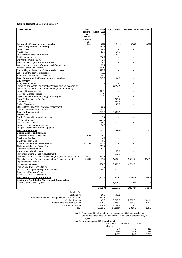#### **Capital Budget 2015-16 to 2016-17**

| <b>Capital Scheme</b>                                         | <b>Total</b><br>scheme | budget<br>2015           | Capital 2016-17 Budget 2017-18 Budget 2018-19 Budget |              |        |
|---------------------------------------------------------------|------------------------|--------------------------|------------------------------------------------------|--------------|--------|
|                                                               | cost                   | 16                       |                                                      |              |        |
|                                                               | (major                 |                          |                                                      |              |        |
|                                                               | schemes                |                          |                                                      |              |        |
|                                                               | only)                  |                          |                                                      |              |        |
| <b>Community Engagement and Localism</b>                      | £'000                  | £'000                    | £'000                                                | £'000        | £'000  |
| Cycle ways (including Green Ring)                             |                        | 117.7                    | $\sim$                                               |              |        |
| <b>Green Travel</b>                                           |                        | 11.5                     |                                                      |              |        |
| <b>Bus Shelters</b>                                           |                        | 48.0                     | 24.0                                                 |              |        |
| <b>Quality Partnership-Bus Network</b>                        |                        |                          | 70.0                                                 |              |        |
| <b>Traffic Management</b>                                     |                        | 121.8                    |                                                      |              |        |
| City Centre Public Realm                                      |                        | 79.0                     |                                                      |              |        |
| Westminster Lodge Car Park surfacing                          |                        | 61.0                     |                                                      |              |        |
| Westminster Lodge-resurfacing of yard -Sea Cadets             |                        | 58.0                     |                                                      |              |        |
| <b>Market Tractor and Trailers</b>                            |                        | 15.10                    |                                                      |              |        |
| Car parking equipment in NCP operated car parks               |                        | 323.6                    |                                                      |              |        |
| Jubilee Centre- cost of dilapidations                         |                        | 7.30                     |                                                      |              |        |
| Economic Development - Initiatives                            |                        | 25.0                     |                                                      |              |        |
| <b>Total for Community Engagement and Localism</b>            |                        | 867.9                    | 94.0                                                 | $\mathbf{r}$ | $\sim$ |
| <b>Environment</b>                                            |                        |                          |                                                      |              |        |
| <b>Air Quality Schemes</b>                                    |                        | 154.8                    |                                                      |              |        |
| Recycling and Waste Equipment & Vehicles (subject to award of |                        |                          | 8,000.0                                              |              |        |
| contract to commence June 2016 and no greater than £8m)       |                        |                          |                                                      |              |        |
| <b>Improve Disabled Access</b>                                |                        | 12.8                     |                                                      |              |        |
| Ver. Park Signage Project                                     |                        | 31.1                     |                                                      |              |        |
| Investment in Renewable Energy Technologies                   |                        | 9.0                      |                                                      |              |        |
|                                                               |                        |                          | 200.0                                                |              |        |
| Solar PV Canopies in Car Parks                                |                        |                          |                                                      |              |        |
| CNC Play area                                                 |                        |                          | 244.2                                                |              |        |
| Parish Play areas                                             |                        |                          | 40.0                                                 |              |        |
| Oakley Road Play Area - play area replacement                 |                        | 55.1                     |                                                      |              |        |
| CNC Clarence Park ramp & steps                                |                        | 20.0                     | 100.0                                                |              |        |
| <b>Total for Environment</b>                                  |                        | 282.7                    | 8.584.2                                              | $\mathbf{r}$ | $\sim$ |
| <b>Resources</b>                                              |                        |                          |                                                      |              |        |
| Public Services Network- Compliance                           |                        | 5.4                      |                                                      |              |        |
| <b>ICT</b> Infrastructure                                     |                        | 267.3                    |                                                      |              |        |
| Invest to save projects                                       |                        | 17.0                     | 100.0                                                |              |        |
| Legal case management system                                  |                        | 34.7                     |                                                      |              |        |
| Integra 2 (Accounting system) Upgrade                         |                        | 23.0                     |                                                      |              |        |
| <b>Total for Resources</b>                                    |                        | 347.4                    | 100.0                                                | 0.0          | 0.0    |
| <b>Sports, Leisure and Heritage</b>                           |                        |                          |                                                      |              |        |
| Batchwood Sports Centre (note 1)                              | 7,350.0                | 93.1                     |                                                      |              |        |
| Batchwood Bowls club                                          |                        | 4.5                      |                                                      |              |        |
| <b>Batchwood Golf Club</b>                                    |                        | 4.5                      |                                                      |              |        |
| Cotlandswick Leisure Centre (note 1)                          | 4,770.0                | 678.6                    |                                                      |              |        |
| Cotlandswick Leisure Centre Equip                             |                        | 218.6                    |                                                      |              |        |
| Cotlandswick Playground                                       |                        | 80.0                     |                                                      |              |        |
| Abbey View redevelopment                                      |                        |                          | 100.0                                                |              |        |
| Harpenden Sports Centre redevelopment                         |                        |                          | 100.0                                                |              |        |
| New Museum and Galleries project-stage 1 (development) note 2 | 348.3                  | 220.5                    |                                                      |              |        |
| New Museum and Galleries project- stage 2 (construction &     | 6,469.2                | 99.8                     | 4,589.1                                              | 1.624.8      | 155.5  |
| implementation) note 2                                        |                        |                          |                                                      |              |        |
| MOSTA development                                             |                        | 801.7                    | 2,856.7                                              | 1,200.0      |        |
| Rothamsted Park-Tennis Courts                                 |                        | 7.3                      |                                                      |              |        |
| Leisure & Heritage Buildings - Enhancement                    |                        | 115.1                    | 300.0                                                |              |        |
| Town Hall - External Works                                    |                        |                          |                                                      |              |        |
| Town Hall- Boiler Replacement                                 |                        | $\overline{\phantom{a}}$ |                                                      |              |        |
| <b>Total Sports, Leisure and Heritage</b>                     |                        | 2,323.6                  | 7,945.8                                              | 2,824.8      | 155.5  |
| <b>Leader and Portfolio for Planning and Conservation</b>     |                        |                          |                                                      |              |        |
| <b>Civic Centre Opportunity Site</b>                          |                        |                          | 4,500.0                                              | 0.0          | 0.0    |
|                                                               |                        |                          |                                                      |              |        |
|                                                               |                        | 3,821.7                  | 21,223.9                                             | 2,824.8      | 155.5  |
|                                                               |                        |                          |                                                      |              |        |
| Funded By:                                                    |                        |                          |                                                      |              |        |
| Section 106                                                   |                        | 20.8                     | 596.2                                                |              |        |
| Revenue contribution to capital/funded from reserves          |                        | 391.8                    | 370.1                                                |              |        |
| <b>Capital Receipts</b>                                       |                        | 45.0                     | 3,738.7                                              | 2,268.0      | 102.2  |
| Other grants and contributions                                |                        | 636.0                    | 3,226.0                                              | 556.8        | 53.3   |
| Prudential borrowing                                          |                        | 2,728.2                  | 13,292.9                                             |              |        |
| Total                                                         |                        | 3,821.7                  | 21,223.9                                             | 2,824.8      | 155.5  |

Note 1: Final expenditure budgets on major schemes (Cotlandswick Leisure Centre and Batchwood Sports Centre). Monies spent predominantly in prior years.

Note 2: New Museum and Galleries Project

| Capital (as<br>above) | Revenue | Total |       |
|-----------------------|---------|-------|-------|
| 348                   |         | 65    | 413   |
| 6469                  |         | 868   | 7337  |
| 6.817                 |         | 933   | 7.750 |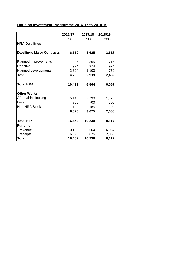# **Housing Investment Programme 2016-17 to 2018-19**

|                                  | 2016/17 | 2017/18 | 2018/19 |
|----------------------------------|---------|---------|---------|
|                                  | £'000   | £'000   | £'000   |
| <b>HRA Dwellings</b>             |         |         |         |
| <b>Dwellings Major Contracts</b> | 6,150   | 3,625   | 3,618   |
| <b>Planned Improvements</b>      | 1,005   | 865     | 715     |
| Reactive                         | 974     | 974     | 974     |
| <b>Planned developments</b>      | 2,304   | 1,100   | 750     |
| Total                            | 4,283   | 2,939   | 2,439   |
| <b>Total HRA</b>                 | 10,432  | 6,564   | 6,057   |
| <b>Other Works</b>               |         |         |         |
| <b>Affordable Housing</b>        | 5,140   | 2,790   | 1,170   |
| <b>DFG</b>                       | 700     | 700     | 700     |
| Non-HRA Stock                    | 180     | 185     | 190     |
|                                  | 6,020   | 3,675   | 2,060   |
| <b>Total HIP</b>                 | 16,452  | 10,239  | 8,117   |
| <b>Funding</b>                   |         |         |         |
| Revenue                          | 10,432  | 6,564   | 6,057   |
| Receipts                         | 6,020   | 3,675   | 2,060   |
| <b>Total</b>                     | 16,452  | 10,239  | 8,117   |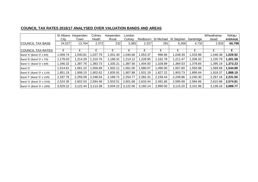## **COUNCIL TAX RATES 2016/17 ANALYSED OVER VALUATION BANDS AND AREAS**

|                            | St Albans | Harpenden | Colney   | Harpenden | London   |          |            |            |           | Wheathamp- | <b>TOTAL/</b>  |
|----------------------------|-----------|-----------|----------|-----------|----------|----------|------------|------------|-----------|------------|----------------|
|                            | City      | Town      | Heath    | Rural     | Colney   | Redbourn | St Michael | St Stephen | Sandridge | stead      | <b>AVERAGE</b> |
| <b>COUNCIL TAX BASE</b>    | 24,527    | 13,764    | 2,372    | 232       | 3,365    | 2,327    | 281        | 6,266      | 4,732     | 2,933      | 60,798         |
|                            |           |           |          |           |          |          |            |            |           |            |                |
| <b>COUNCIL TAX RATES</b>   | £         |           |          | £         |          | £        | £          |            | £         |            |                |
| Band 'A' (Band 'D' x 6/9)  | 1,009.74  | 1,040.81  | ,037.79  | 1,001.40  | 1,040.66 | 1,053.37 | 996.66     | ,038.39    | 1,033.98  | 1,046.38   | 1,029.92       |
| Band 'B' (Band 'D' x 7/9)  | 1,178.03  | 1,214.29  | .210.76  | 1,168.31  | 1,214.12 | 1,228.95 | 1,162.78   | 1,211.47   | 1,206.32  | 1,220.79   | 1,201.58       |
| Band 'C' (Band 'D' x 8/9)  | 1,346.32  | 1,387.76  | ,383.73  | 1,335.21  | 1,387.56 | 1,404.50 | 1,328.89   | 1,384.53   | 1,378.65  | 1,395.19   | 1,373.23       |
| Band 'D'                   | 1,514.61  | 1,561.22  | .556.69  | 1,502.11  | 561.00,  | 1,580.07 | 495.00     | ,557.60    | 550.98    | 1,569.58   | 544.89, ا      |
| Band 'E' (Band 'D' x 11/9) | 1,851.19  | 1,908.15  | ,902.62  | 1,835.91  | 1,907.88 | 1,931.19 | 1,827.22   | 903.73     | 1,895.64  | 1,918.37   | 1,888.19       |
| Band 'F' (Band 'D' x 13/9) | 2,187.76  | 2,255.09  | 2,248.54 | 2,169.71  | 2,254.77 | 2,282.31 | 2,159.44   | 2,249.86   | 2,240.30  | 2,267.16   | 2,231.50       |
| Band 'G' (Band 'D' x 15/9) | 2,524.35  | 2,602.03  | 2,594.48 | 2,503.51  | 2,601.66 | 2,633.44 | 2,491.66   | 2,595.99   | 2,584.96  | 2,615.96   | 2,574.81       |
| Band 'H' (Band 'D' x 18/9) | 3,029.22  | 3,122.44  | 3,113.38 | 3,004.22  | 3,122.00 | 3,160.14 | 2,990.00   | 3,115.20   | 3,101.96  | 3,139.16   | 3,089.77       |